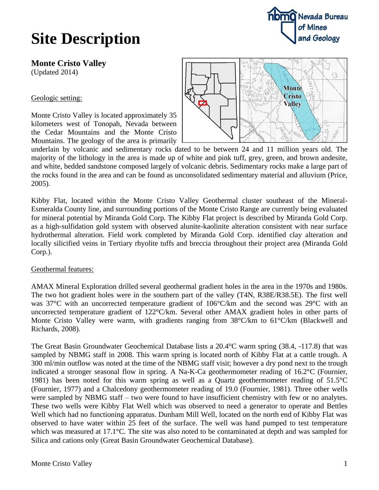## **nomo** Nevada Bureau of Mines and Geology

## **Site Description**

**Monte Cristo Valley** (Updated 2014)

Geologic setting:

Monte Cristo Valley is located approximately 35 kilometers west of Tonopah, Nevada between the Cedar Mountains and the Monte Cristo Mountains. The geology of the area is primarily



underlain by volcanic and sedimentary rocks dated to be between 24 and 11 million years old. The majority of the lithology in the area is made up of white and pink tuff, grey, green, and brown andesite, and white, bedded sandstone composed largely of volcanic debris. Sedimentary rocks make a large part of the rocks found in the area and can be found as unconsolidated sedimentary material and alluvium (Price, 2005).

Kibby Flat, located within the Monte Cristo Valley Geothermal cluster southeast of the Mineral-Esmeralda County line, and surrounding portions of the Monte Cristo Range are currently being evaluated for mineral potential by Miranda Gold Corp. The Kibby Flat project is described by Miranda Gold Corp. as a high-sulfidation gold system with observed alunite-kaolinite alteration consistent with near surface hydrothermal alteration. Field work completed by Miranda Gold Corp. identified clay alteration and locally silicified veins in Tertiary rhyolite tuffs and breccia throughout their project area (Miranda Gold Corp.).

## Geothermal features:

AMAX Mineral Exploration drilled several geothermal gradient holes in the area in the 1970s and 1980s. The two hot gradient holes were in the southern part of the valley (T4N, R38E/R38.5E). The first well was 37°C with an uncorrected temperature gradient of 106°C/km and the second was 29°C with an uncorrected temperature gradient of 122°C/km. Several other AMAX gradient holes in other parts of Monte Cristo Valley were warm, with gradients ranging from 38°C/km to 61°C/km (Blackwell and Richards, 2008).

The Great Basin Groundwater Geochemical Database lists a 20.4°C warm spring (38.4, -117.8) that was sampled by NBMG staff in 2008. This warm spring is located north of Kibby Flat at a cattle trough. A 300 ml/min outflow was noted at the time of the NBMG staff visit; however a dry pond next to the trough indicated a stronger seasonal flow in spring. A Na-K-Ca geothermometer reading of 16.2°C (Fournier, 1981) has been noted for this warm spring as well as a Quartz geothermometer reading of 51.5°C (Fournier, 1977) and a Chalcedony geothermometer reading of 19.0 (Fournier, 1981). Three other wells were sampled by NBMG staff – two were found to have insufficient chemistry with few or no analytes. These two wells were Kibby Flat Well which was observed to need a generator to operate and Bettles Well which had no functioning apparatus. Dunham Mill Well, located on the north end of Kibby Flat was observed to have water within 25 feet of the surface. The well was hand pumped to test temperature which was measured at 17.1°C. The site was also noted to be contaminated at depth and was sampled for Silica and cations only (Great Basin Groundwater Geochemical Database).